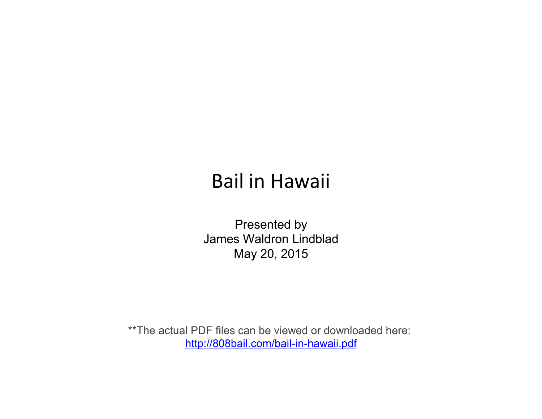## Bail in Hawaii

Presented by James Waldron Lindblad May 20, 2015

\*\*The actual PDF files can be viewed or downloaded here: [http://808bail.com/bail-in-hawaii.pdf](https://t.yesware.com/tl/ae38856b4ac5babeb2103ac961d9ee7a41cea89b/812400f7dfca7ee79dca979f7ebc938a/2e5f8628f793d43b6460855393be4862?ytl=http%3A%2F%2F808bail.com%2Fbail-in-hawaii.pdf)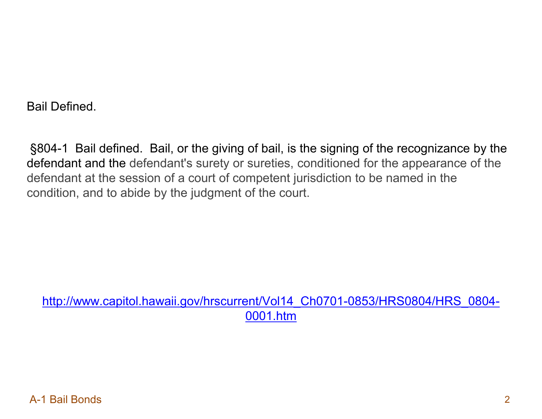Bail Defined.

§804-1 Bail defined. Bail, or the giving of bail, is the signing of the recognizance by the defendant and the defendant's surety or sureties, conditioned for the appearance of the defendant at the session of a court of competent jurisdiction to be named in the condition, and to abide by the judgment of the court.

[http://www.capitol.hawaii.gov/hrscurrent/Vol14\\_Ch0701-0853/HRS0804/HRS\\_0804-](http://www.capitol.hawaii.gov/hrscurrent/Vol14_Ch0701-0853/HRS0804/HRS_0804-0001.htm) [0001.htm](http://www.capitol.hawaii.gov/hrscurrent/Vol14_Ch0701-0853/HRS0804/HRS_0804-0001.htm)

A-1 Bail Bonds 2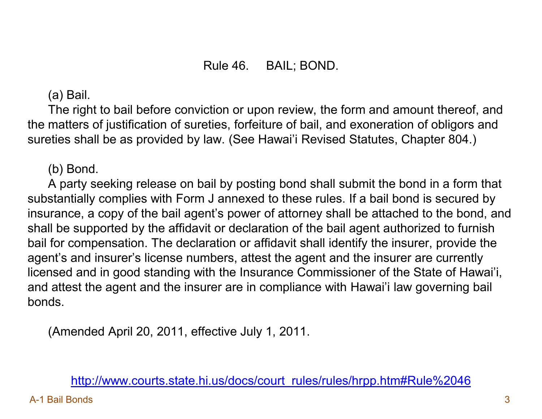## Rule 46. BAIL; BOND.

(a) Bail.

 The right to bail before conviction or upon review, the form and amount thereof, and the matters of justification of sureties, forfeiture of bail, and exoneration of obligors and sureties shall be as provided by law. (See Hawai'i Revised Statutes, Chapter 804.)

(b) Bond.

 A party seeking release on bail by posting bond shall submit the bond in a form that substantially complies with Form J annexed to these rules. If a bail bond is secured by insurance, a copy of the bail agent's power of attorney shall be attached to the bond, and shall be supported by the affidavit or declaration of the bail agent authorized to furnish bail for compensation. The declaration or affidavit shall identify the insurer, provide the agent's and insurer's license numbers, attest the agent and the insurer are currently licensed and in good standing with the Insurance Commissioner of the State of Hawai'i, and attest the agent and the insurer are in compliance with Hawai'i law governing bail bonds.

(Amended April 20, 2011, effective July 1, 2011.

## [http://www.courts.state.hi.us/docs/court\\_rules/rules/hrpp.htm#Rule%2046](http://www.courts.state.hi.us/docs/court_rules/rules/hrpp.htm)

A-1 Bail Bonds 3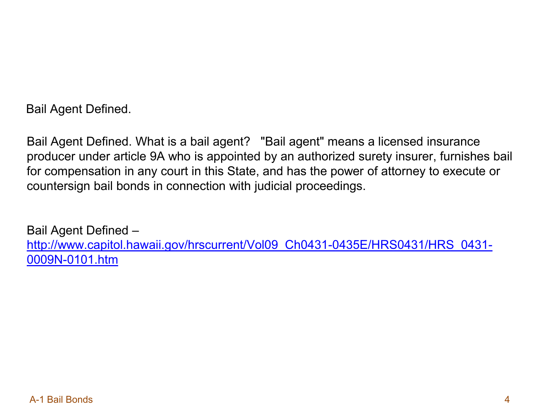Bail Agent Defined.

Bail Agent Defined. What is a bail agent? "Bail agent" means a licensed insurance producer under article 9A who is appointed by an authorized surety insurer, furnishes bail for compensation in any court in this State, and has the power of attorney to execute or countersign bail bonds in connection with judicial proceedings.

Bail Agent Defined – [http://www.capitol.hawaii.gov/hrscurrent/Vol09\\_Ch0431-0435E/HRS0431/HRS\\_0431-](http://www.capitol.hawaii.gov/hrscurrent/Vol09_Ch0431-0435E/HRS0431/HRS_0431-0009N-0101.htm) [0009N-0101.htm](http://www.capitol.hawaii.gov/hrscurrent/Vol09_Ch0431-0435E/HRS0431/HRS_0431-0009N-0101.htm)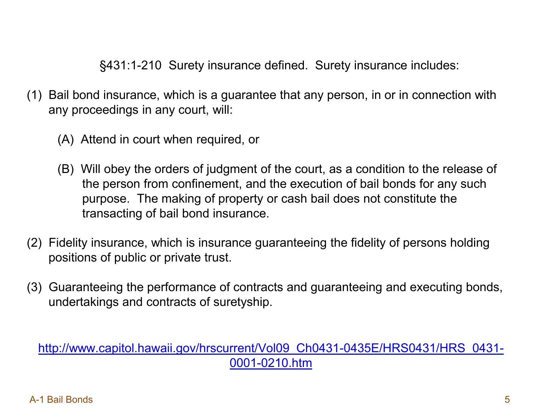§431:1-210 Surety insurance defined. Surety insurance includes:

- (1) Bail bond insurance, which is a guarantee that any person, in or in connection with any proceedings in any court, will:
	- (A) Attend in court when required, or
	- (B) Will obey the orders of judgment of the court, as a condition to the release of the person from confinement, and the execution of bail bonds for any such purpose. The making of property or cash bail does not constitute the transacting of bail bond insurance.
- (2) Fidelity insurance, which is insurance guaranteeing the fidelity of persons holding positions of public or private trust.
- (3) Guaranteeing the performance of contracts and guaranteeing and executing bonds, undertakings and contracts of suretyship.

[http://www.capitol.hawaii.gov/hrscurrent/Vol09\\_Ch0431-0435E/HRS0431/HRS\\_0431-](http://www.capitol.hawaii.gov/hrscurrent/Vol09_Ch0431-0435E/HRS0431/HRS_0431-0001-0210.htm) [0001-0210.htm](http://www.capitol.hawaii.gov/hrscurrent/Vol09_Ch0431-0435E/HRS0431/HRS_0431-0001-0210.htm)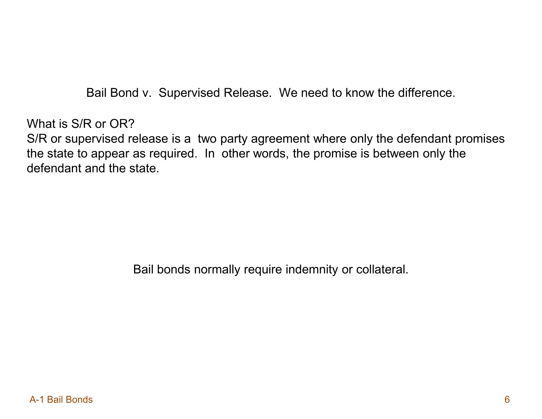Bail Bond v. Supervised Release. We need to know the difference.

What is S/R or OR? S/R or supervised release is a two party agreement where only the defendant promises the state to appear as required. In other words, the promise is between only the defendant and the state.

Bail bonds normally require indemnity or collateral.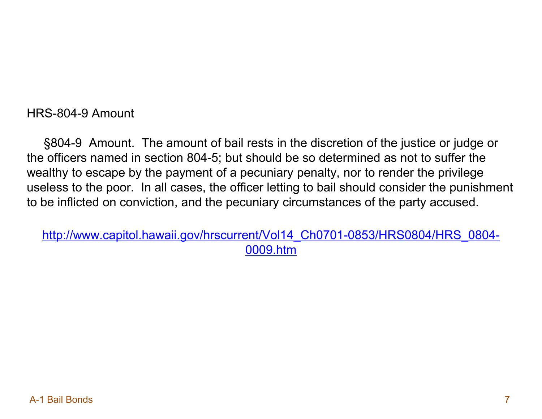HRS-804-9 Amount

 §804-9 Amount. The amount of bail rests in the discretion of the justice or judge or the officers named in section 804-5; but should be so determined as not to suffer the wealthy to escape by the payment of a pecuniary penalty, nor to render the privilege useless to the poor. In all cases, the officer letting to bail should consider the punishment to be inflicted on conviction, and the pecuniary circumstances of the party accused.

[http://www.capitol.hawaii.gov/hrscurrent/Vol14\\_Ch0701-0853/HRS0804/HRS\\_0804-](http://www.capitol.hawaii.gov/hrscurrent/Vol14_Ch0701-0853/HRS0804/HRS_0804-0009.htm) [0009.htm](http://www.capitol.hawaii.gov/hrscurrent/Vol14_Ch0701-0853/HRS0804/HRS_0804-0009.htm)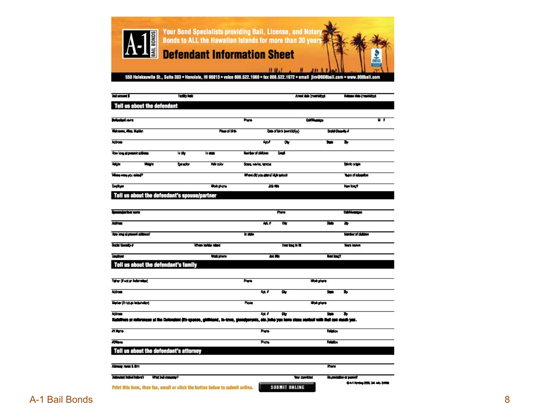

550 Halekauwila St., Suite 303 · Honolulu, HI 96813 · voice 808.522.1960 · fax 808.522.1972 · email jim@808bail.com · www.808bail.com

| <b>Bull amount \$</b>                        |         | Facility <b>Facil</b> |                 |                                  |                          | Arest dala (membibig)                                                                                                                       | Fidume dub (markid)31 |
|----------------------------------------------|---------|-----------------------|-----------------|----------------------------------|--------------------------|---------------------------------------------------------------------------------------------------------------------------------------------|-----------------------|
| Tell us about the defendant                  |         |                       |                 |                                  |                          |                                                                                                                                             |                       |
| <b>Outenbert</b> man                         |         |                       |                 | Phyric                           |                          | Collection                                                                                                                                  | ┅                     |
| Highcapana, Alian, Majdian                   |         |                       | Pinet of birth  |                                  | Deep of laids (workbory) |                                                                                                                                             | Scott Steering &      |
| Address                                      |         |                       |                 | w                                | o,                       | <b>Guest</b>                                                                                                                                | ъ                     |
| How long at present solderes                 |         | la play               | la <b>stat</b>  | Macriber of children             | <b>Last</b>              |                                                                                                                                             |                       |
| Ha je                                        | والمالة | bester                | He tob          | String, convice, 197004          |                          |                                                                                                                                             | Estado origin         |
| Village were you winted?                     |         |                       |                 | Where did you attend high suboot |                          |                                                                                                                                             | lease of education    |
| <b>Banglan</b>                               |         |                       | Work phone      |                                  | $20 - 10$                |                                                                                                                                             | Har bent              |
| Tell us about the defendant's spouse/partner |         |                       |                 |                                  |                          |                                                                                                                                             |                       |
|                                              |         |                       |                 |                                  |                          |                                                                                                                                             |                       |
| <b>Majarisa wa</b>                           |         |                       |                 |                                  | Phene                    |                                                                                                                                             | <b>Californize:</b>   |
| <b>Address</b>                               |         |                       |                 | <b>Ad. F</b>                     | क                        | 酾                                                                                                                                           | ъ                     |
| How long al present activent?                |         |                       |                 | <b>In plate</b>                  |                          |                                                                                                                                             | Number of children    |
| Such County #                                |         |                       | When lakks also |                                  |                          | Her long in NI                                                                                                                              | <b>Years loughers</b> |
| <b>Engineer</b>                              |         |                       | Walk phone      |                                  | <b>ANTE</b>              |                                                                                                                                             | <b>Marina</b> ?       |
| Tell us about the defendant's family         |         |                       |                 |                                  |                          |                                                                                                                                             |                       |
| Father (theol an indemnities)                |         |                       |                 | Phone:                           |                          | Work player                                                                                                                                 |                       |
| Address                                      |         |                       |                 | ka F                             | ٠                        | Sum                                                                                                                                         | ъ                     |
| Matter (if not as inductable)                |         |                       |                 | Ploce                            |                          | Work player                                                                                                                                 |                       |
| Address                                      |         |                       |                 | ka. F                            | o,                       | Sum                                                                                                                                         | ъ                     |
|                                              |         |                       |                 |                                  |                          | Ralphae or minnesse of the Delengent (25-appear, ghibiand, in-laws, genelperants, etc.) who you have stong confort with their can mask you. |                       |
| <b>Allen</b>                                 |         |                       |                 | Phone                            |                          | <b>Resident</b>                                                                                                                             |                       |
| $\overline{\phantom{a}}$                     |         |                       |                 | <b>Phone</b>                     |                          | <b>Response</b>                                                                                                                             |                       |
| Tell us about the defendant's attorney       |         |                       |                 |                                  |                          |                                                                                                                                             |                       |
| Alloway mem 1. Brm                           |         |                       |                 |                                  |                          | Phone                                                                                                                                       |                       |

**Yer method** 

**SUBMIT ONLINE** 

**Un prodution or parent?** 

0.41 Spring 200, Oil Inc. 5/098

What bull company?

Deterator belief before?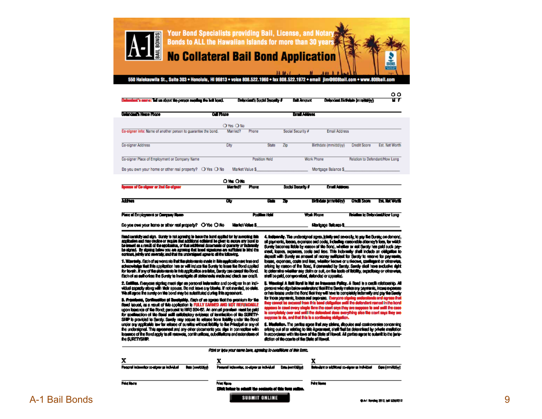

550 Halekauwila St., Suite 303 . Honolulu, HI 96813 . voice 808.522.1960 . fax 808.522.1972 . email jim@808bail.com . www.808bail.com

Delendant's Social Security #

**But Amount** 

 $\circ$ ਸਭ

Delendant Birthdate (mm/dd/yy)

| Delandario Heste Phone                                        | <b>Call Phone</b> |               | <b>Email Address</b> |                       |                                       |                                |
|---------------------------------------------------------------|-------------------|---------------|----------------------|-----------------------|---------------------------------------|--------------------------------|
|                                                               | O Yes O No        |               |                      |                       |                                       |                                |
| Co-signer info: Name of another person to guarantee the bond. | Married?          | Phone         | Social Security #    | <b>Email Address</b>  |                                       |                                |
| Co-signer Address                                             | City              | <b>State</b>  | Zip                  | Birthdate (mm/dd/w)   | <b>Credit Score</b>                   | Est. Net Worth                 |
| Co-signer Place of Employment or Company Name                 |                   | Position Held |                      | Work Phone            |                                       | Relation to Defendant/How Long |
| Do you own your home or other real property? $O$ Yes $O$ No   | Market Value S    |               |                      | Mortgage Balance \$   |                                       |                                |
|                                                               | OW OM             |               |                      |                       |                                       |                                |
| nouse of Co-signer or 2nd Co-signer                           | <b>Manbdit</b>    | Phone         | Social Security #    | <b>Email Address</b>  |                                       |                                |
| खिला                                                          | œ                 | Smith         | 20                   | Birthdain (straction) | <b>Credit Score</b>                   | <b>EXTREMON</b>                |
| Place of Employment or Company News-                          |                   | Position Hold |                      | <b>Wark Phone</b>     | <b>Rolation to Defendant How Long</b> |                                |

Market Value &

Franci constituty and algo. Survey is not agreeing is inscentive bond applied for by accepting links application and may decline or moster that additional editatent be given to secure any bond to be issued as a result of the application, or that additional documents of guaranty or industrialy.<br>The stored. By stories below you are appears that loved signatures are sufficient to bird the contrast, jointly and severally, and that the undersigned agree to all the following.

Do you awa your home or other real property? O Yes O No

Defendant's name: Tell us about the person menting the hell houst.

1. Warrietly, Each of no working that the statements shells in Eds analysition are tras-and echocontrolge that links application has an will induce the Sunsky to Issue the Bond applied for horsh. If any of the platonenic in this application are false, Suraty can causal the Bord. Each of us authorizes the Surely to investigate all statements made and clack our credit.

2. Estillags. Everyone eigning much eign as personal indumnition and co-eigner in an individual especify along with their spouse. Do not leave any blanks. If not member, so state. We all agree the surely on the bond may be substituted during this agreement.

3. Promismo, Davillandika of Remissible. Each of as agrees that the promium for the<br>Board issued, as a result of this application is FULLY EARNED AND MDT REFUNDABLE upon legence of the Bond; persuad to HRS 304-62. An annual prentiem need be paid for confirmation of the figuri will suitability evidence of termination of the SURETY-SHIP is provided to Surely. Surely may see in this release from holding under the Bord under any applicable law for release of sumities without listillity to the Principal or any of the understoned. This agreement and any other documents you sign in connection with issuance of the Bond apply to all reasonsts, continuations, substitutions and extensions of the SURETYSHIP.

4. Independing. The understancel sames, joinity and severally, to pay like Surely, on demand, all psyments, locate, expense and cools, including researchis attempts fore, for widch Surely becomes listile by resoon of the Bond, whether or not Surely hee paid such payaneal, logoes, oxplanees, cooke oad less. This indomally shall include an obligation to<br>slapedi with Sundy as amount of namey exilicient for Sundy to reserve for payments, boate, expenses, coale and less, whether hoove or unhacene, confligent or otherwise, orising by researt of the Boad, it demanded by Surety. Sandly stall have suckelve sight. to determine whether any claim or suit, on the leads of listing, separticaty or otherwise. shell be paid, compromised, defended or appealed.

Marinano Belasco &

U. Wenshapi A Hald Hordi in Net on Intersects Policy. A Road is a costili relationship. All persons who sign balow enderstand that if the Service metros any payments, increase process or has losses under the Bond like they will have to completely indemally and pay the Sandy for those payments, boson can count the services. Everyone signing understands and agrees that they cannot be exclused treat this board obligation until the defendant annual in the board species that the post of stars that

6. Mediation. The partice agree that any claims, disputes and controversies concerning enteing out of an relating to title Agreement, shell final be determined by private mediation.<br>In accordance with the laws of the State of Hawell. All parties agree to submit to the juniodiction of the counte of the State of Hersell.

|                                              |                          | Print or lype your name have, agreeing to conditions of this form.            |                                                                     |
|----------------------------------------------|--------------------------|-------------------------------------------------------------------------------|---------------------------------------------------------------------|
|                                              |                          |                                                                               |                                                                     |
| Personal indemnitor to eligen as include all | <b>Base (completion)</b> | Pennycel indexaming, co-gigany as include all<br>Dans per riddiggi            | Belendare or edditional co-electrice in Individual<br>Destromating) |
| Past lives                                   |                          | <b>Print Name</b><br>Elish below to school the contacts of this form collect. | Paint Monte                                                         |
|                                              |                          | <b>SUBMIT ONLINE</b>                                                          |                                                                     |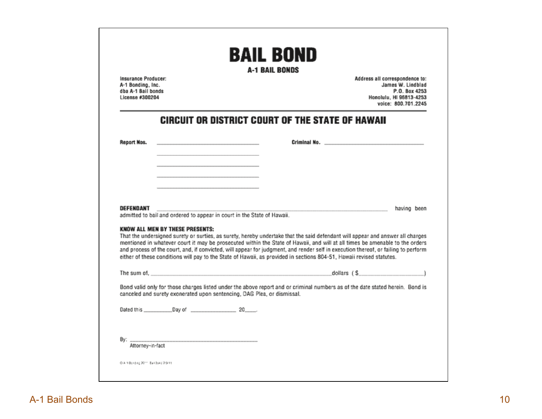| dba A-1 Bail bonds<br>License #300204 | Insurance Producer:<br>A-1 Bonding, Inc.                                   |                                                                                                                                                                                                                                                                                                                                                                                                                                                                                                                              |                                                                                                                | Address all correspondence to:<br>James W. Lindblad<br>P.O. Box 4253<br>Honolulu, HI 96813-4253<br>voice: 800.701.2245                                                                                                                                                              |
|---------------------------------------|----------------------------------------------------------------------------|------------------------------------------------------------------------------------------------------------------------------------------------------------------------------------------------------------------------------------------------------------------------------------------------------------------------------------------------------------------------------------------------------------------------------------------------------------------------------------------------------------------------------|----------------------------------------------------------------------------------------------------------------|-------------------------------------------------------------------------------------------------------------------------------------------------------------------------------------------------------------------------------------------------------------------------------------|
|                                       |                                                                            | <b>CIRCUIT OR DISTRICT COURT OF THE STATE OF HAWAII</b>                                                                                                                                                                                                                                                                                                                                                                                                                                                                      |                                                                                                                |                                                                                                                                                                                                                                                                                     |
| Report Nos.                           | the control of the control of the control of the control of the control of |                                                                                                                                                                                                                                                                                                                                                                                                                                                                                                                              | Criminal No. 2008 - Annual More and Service Communications of the Communication of the Communication of the Co |                                                                                                                                                                                                                                                                                     |
|                                       |                                                                            |                                                                                                                                                                                                                                                                                                                                                                                                                                                                                                                              |                                                                                                                |                                                                                                                                                                                                                                                                                     |
|                                       |                                                                            |                                                                                                                                                                                                                                                                                                                                                                                                                                                                                                                              |                                                                                                                |                                                                                                                                                                                                                                                                                     |
|                                       |                                                                            |                                                                                                                                                                                                                                                                                                                                                                                                                                                                                                                              |                                                                                                                |                                                                                                                                                                                                                                                                                     |
| DEFENDANT                             |                                                                            | admitted to bail and ordered to appear in court in the State of Hawaii.                                                                                                                                                                                                                                                                                                                                                                                                                                                      |                                                                                                                | having been                                                                                                                                                                                                                                                                         |
|                                       | <b>KNOW ALL MEN BY THESE PRESENTS:</b>                                     | That the undersigned surety or surties, as surety, hereby undertake that the said defendant will appear and answer all charges<br>mentioned in whatever court it may be prosecuted within the State of Hawaii, and will at all times be amenable to the orders<br>and process of the court, and, if convicted, will appear for judgment, and render self in execution thereof, or failing to perform<br>either of these conditions will pay to the State of Hawaii, as provided in sections 804-51. Hawaii revised statutes, |                                                                                                                |                                                                                                                                                                                                                                                                                     |
|                                       |                                                                            | The sum of, which is a strategies of the state of the state of the state of the state of the state of the state of the state of the state of the state of the state of the state of the state of the state of the state of the                                                                                                                                                                                                                                                                                               |                                                                                                                | dollars $(S_1, S_2, S_3, S_4, S_5, S_6, S_7, S_7, S_8, S_9, S_9, S_1, S_1, S_2, S_4, S_1, S_2, S_4, S_4, S_5, S_6, S_7, S_7, S_8, S_8, S_9, S_9, S_1, S_1, S_2, S_4, S_1, S_2, S_4, S_4, S_5, S_6, S_6, S_7, S_7, S_8, S_8, S_9, S_9, S_9, S_1, S_1, S_2, S_4, S_1, S_2, S_4, S_1,$ |
|                                       |                                                                            |                                                                                                                                                                                                                                                                                                                                                                                                                                                                                                                              |                                                                                                                |                                                                                                                                                                                                                                                                                     |
|                                       |                                                                            | Bond valid only for those charges listed under the above report and or criminal numbers as of the date stated herein. Bond is<br>canceled and surety exonerated upon sentencing, DAG Plea, or dismissal.                                                                                                                                                                                                                                                                                                                     |                                                                                                                |                                                                                                                                                                                                                                                                                     |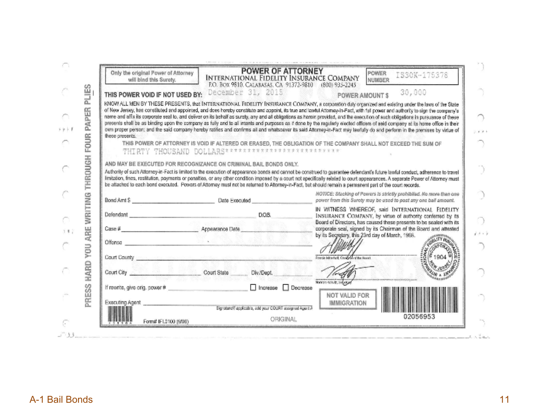| will bind this Surety.                                                                                         | INTERNATIONAL FIDELITY INSURANCE COMPANY<br>P.O. BOX 9810, CALABASAS, CA 91372-9810 (800) 935-2245                                                       | IS30K-175378<br>NUMBER                                                                                                                                                                                                                                                                                                                                                                                                                                                                                                                                                                                                                                                                                                                                                                                                                                                                                                                                                                                         |
|----------------------------------------------------------------------------------------------------------------|----------------------------------------------------------------------------------------------------------------------------------------------------------|----------------------------------------------------------------------------------------------------------------------------------------------------------------------------------------------------------------------------------------------------------------------------------------------------------------------------------------------------------------------------------------------------------------------------------------------------------------------------------------------------------------------------------------------------------------------------------------------------------------------------------------------------------------------------------------------------------------------------------------------------------------------------------------------------------------------------------------------------------------------------------------------------------------------------------------------------------------------------------------------------------------|
| THIS POWER VOID IF NOT USED BY:                                                                                | December 31, 2015                                                                                                                                        | 30,000<br><b>POWER AMOUNTS</b>                                                                                                                                                                                                                                                                                                                                                                                                                                                                                                                                                                                                                                                                                                                                                                                                                                                                                                                                                                                 |
| these presents.                                                                                                | THIRTY THOUSAND DOLLARS**************************                                                                                                        | KNOW ALL MEN BY THESE PRESENTS, that INTERNATIONAL FIDELITY INSURANCE COMPANY, a corporation duly organized and existing under the laws of the State<br>of New Jersey, has constituted and appointed, and does hereby constitute and appoint, its true and lawful Atlomay-in-Fact, with full power and authority to sign the company's<br>name and affx its corporate seal to, and deliver on its behalf as surety, any and all obligations as harcin provided, and the execution of such obligations in pursuance of these<br>presents shall be as binding upon the company as fully and to all intents and purposes as if done by the regularly elected officers of asid company stilts home office in their<br>own proper person; and the said company hereby ratifies and confirms all and whatsoaver its said Attorney-in-Fact may lawfully do and perform in the premises by virtue of<br>THIS POWER OF ATTORNEY IS VOID IF ALTERED OR ERASED. THE OBLIGATION OF THE COMPANY SHALL NOT EXCEED THE SUM OF |
|                                                                                                                | AND MAY BE EXECUTED FOR RECOGNIZANCE ON CRIMINAL BAIL BONDS ONLY.                                                                                        |                                                                                                                                                                                                                                                                                                                                                                                                                                                                                                                                                                                                                                                                                                                                                                                                                                                                                                                                                                                                                |
|                                                                                                                |                                                                                                                                                          | Authority of such Attorney-in-Fact is limited to the execution of appearance bonds and cannot be construed to guarantee defendant's future lawful conduct, adherence to travel                                                                                                                                                                                                                                                                                                                                                                                                                                                                                                                                                                                                                                                                                                                                                                                                                                 |
|                                                                                                                | be affached to each bond executed. Powers of Attorney must not be returned to Attorney-in-Fact, but should remain a permanent part of the court records. | limitation, fines, restitution, payments or penalties, or any other condition imposed by a court not specifically related to court appearances. A separate Power of Attorney must                                                                                                                                                                                                                                                                                                                                                                                                                                                                                                                                                                                                                                                                                                                                                                                                                              |
|                                                                                                                |                                                                                                                                                          | NOTICE: Stacking of Powers is strictly prohibited. No more then one                                                                                                                                                                                                                                                                                                                                                                                                                                                                                                                                                                                                                                                                                                                                                                                                                                                                                                                                            |
|                                                                                                                |                                                                                                                                                          |                                                                                                                                                                                                                                                                                                                                                                                                                                                                                                                                                                                                                                                                                                                                                                                                                                                                                                                                                                                                                |
|                                                                                                                | Bond Amt S Date Executed<br>The process of the contract of the con-                                                                                      |                                                                                                                                                                                                                                                                                                                                                                                                                                                                                                                                                                                                                                                                                                                                                                                                                                                                                                                                                                                                                |
|                                                                                                                |                                                                                                                                                          |                                                                                                                                                                                                                                                                                                                                                                                                                                                                                                                                                                                                                                                                                                                                                                                                                                                                                                                                                                                                                |
| Defendant and the contract of the contract of the contract of the contract of the contract of the contract of  | D.O.B.                                                                                                                                                   |                                                                                                                                                                                                                                                                                                                                                                                                                                                                                                                                                                                                                                                                                                                                                                                                                                                                                                                                                                                                                |
| $\cos \theta$                                                                                                  | Appearance Date                                                                                                                                          |                                                                                                                                                                                                                                                                                                                                                                                                                                                                                                                                                                                                                                                                                                                                                                                                                                                                                                                                                                                                                |
| Offense in the contract of the contract of the contract of the contract of the contract of the contract of the |                                                                                                                                                          | by its Secretary, this 23rd day of March, 1998.                                                                                                                                                                                                                                                                                                                                                                                                                                                                                                                                                                                                                                                                                                                                                                                                                                                                                                                                                                |
|                                                                                                                |                                                                                                                                                          |                                                                                                                                                                                                                                                                                                                                                                                                                                                                                                                                                                                                                                                                                                                                                                                                                                                                                                                                                                                                                |
|                                                                                                                | Court County interesting other referring anticipate anticipate come, with a lot                                                                          | power from this Surety may be used to post any one ball amount.<br>IN WITNESS WHEREOF, said INTERNATIONAL FIDELITY<br>INSURANCE COMPANY, by virtue of authority conferred by its<br>Board of Directors, has caused these presents to be sealed with its<br>corporate seal, signed by its Chairman of the Board and attested<br>1904<br>Francis Mitwhell, Creatorin of the Board                                                                                                                                                                                                                                                                                                                                                                                                                                                                                                                                                                                                                                |
|                                                                                                                |                                                                                                                                                          |                                                                                                                                                                                                                                                                                                                                                                                                                                                                                                                                                                                                                                                                                                                                                                                                                                                                                                                                                                                                                |
| Court City                                                                                                     | Court State<br>Div./Dept.                                                                                                                                |                                                                                                                                                                                                                                                                                                                                                                                                                                                                                                                                                                                                                                                                                                                                                                                                                                                                                                                                                                                                                |
| If rewrite, give orig, power #                                                                                 | Increase<br>Decrease                                                                                                                                     | Norman Konvitz, Selvespel                                                                                                                                                                                                                                                                                                                                                                                                                                                                                                                                                                                                                                                                                                                                                                                                                                                                                                                                                                                      |
|                                                                                                                |                                                                                                                                                          | NOT VALID FOR                                                                                                                                                                                                                                                                                                                                                                                                                                                                                                                                                                                                                                                                                                                                                                                                                                                                                                                                                                                                  |
| Executing Agent                                                                                                | Signature/flapplicable, add your COURT assigned Agent A                                                                                                  | <b>IMMIGRATION</b>                                                                                                                                                                                                                                                                                                                                                                                                                                                                                                                                                                                                                                                                                                                                                                                                                                                                                                                                                                                             |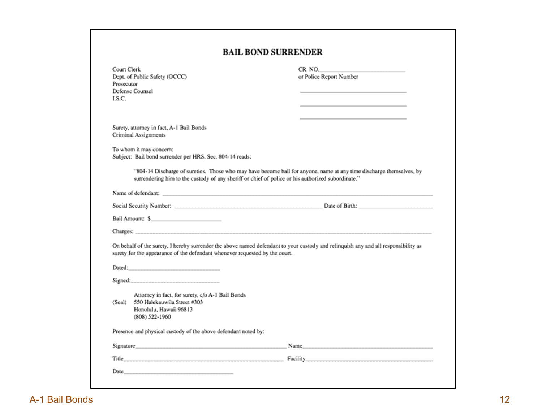|                          |                                                                                                               | <b>BAIL BOND SURRENDER</b>                                                                                                                                                                                                     |
|--------------------------|---------------------------------------------------------------------------------------------------------------|--------------------------------------------------------------------------------------------------------------------------------------------------------------------------------------------------------------------------------|
| Court Clerk              |                                                                                                               | CR. NO.                                                                                                                                                                                                                        |
|                          | Dept. of Public Safety (OCCC)                                                                                 | or Police Report Number                                                                                                                                                                                                        |
| Prosecutor               |                                                                                                               |                                                                                                                                                                                                                                |
| Defense Counsel<br>LS.C. |                                                                                                               |                                                                                                                                                                                                                                |
|                          |                                                                                                               |                                                                                                                                                                                                                                |
|                          |                                                                                                               |                                                                                                                                                                                                                                |
|                          |                                                                                                               |                                                                                                                                                                                                                                |
|                          | Surety, attorney in fact, A-1 Bail Bonds<br>Criminal Assignments                                              |                                                                                                                                                                                                                                |
|                          |                                                                                                               |                                                                                                                                                                                                                                |
|                          | To whom it may concern:                                                                                       |                                                                                                                                                                                                                                |
|                          | Subject: Bail bond surrender per HRS, Sec. 804-14 reads:                                                      |                                                                                                                                                                                                                                |
|                          | surrendering him to the custody of any sheriff or chief of police or his authorized subordinate."             | "804-14 Discharge of sureties. Those who may have become bail for anyone, name at any time discharge themselves, by                                                                                                            |
|                          |                                                                                                               |                                                                                                                                                                                                                                |
|                          |                                                                                                               |                                                                                                                                                                                                                                |
|                          | Bail Amount: \$                                                                                               |                                                                                                                                                                                                                                |
|                          |                                                                                                               |                                                                                                                                                                                                                                |
|                          |                                                                                                               |                                                                                                                                                                                                                                |
|                          | surety for the appearance of the defendant whenever requested by the court.                                   | On behalf of the surety, I hereby surrender the above named defendant to your custody and relinquish any and all responsibility as                                                                                             |
|                          |                                                                                                               |                                                                                                                                                                                                                                |
|                          |                                                                                                               |                                                                                                                                                                                                                                |
|                          |                                                                                                               |                                                                                                                                                                                                                                |
|                          | Attorney in fact, for surety, c/o A-1 Bail Bonds                                                              |                                                                                                                                                                                                                                |
|                          | (Seal) 550 Halekauwila Street #303                                                                            |                                                                                                                                                                                                                                |
|                          | Honolulu, Hawaii 96813<br>$(808)$ 522-1960                                                                    |                                                                                                                                                                                                                                |
|                          | Presence and physical custody of the above defendant noted by:                                                |                                                                                                                                                                                                                                |
|                          | Signature and the contract of the contract of the contract of the contract of the contract of the contract of | Name and the contract of the contract of the contract of the contract of the contract of the contract of the contract of the contract of the contract of the contract of the contract of the contract of the contract of the c |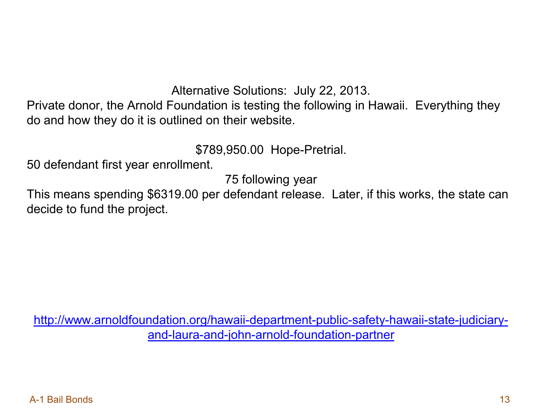Alternative Solutions: July 22, 2013.

Private donor, the Arnold Foundation is testing the following in Hawaii. Everything they do and how they do it is outlined on their website.

\$789,950.00 Hope-Pretrial.

50 defendant first year enrollment.

75 following year

This means spending \$6319.00 per defendant release. Later, if this works, the state can decide to fund the project.

[http://www.arnoldfoundation.org/hawaii-department-public-safety-hawaii-state-judiciary](http://www.arnoldfoundation.org/hawaii-department-public-safety-hawaii-state-judiciary-and-laura-and-john-arnold-foundation-partner)[and-laura-and-john-arnold-foundation-partner](http://www.arnoldfoundation.org/hawaii-department-public-safety-hawaii-state-judiciary-and-laura-and-john-arnold-foundation-partner)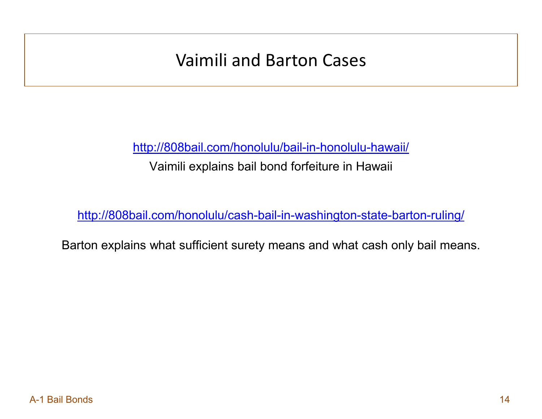## Vaimili and Barton Cases

<http://808bail.com/honolulu/bail-in-honolulu-hawaii/>

Vaimili explains bail bond forfeiture in Hawaii

<http://808bail.com/honolulu/cash-bail-in-washington-state-barton-ruling/>

Barton explains what sufficient surety means and what cash only bail means.